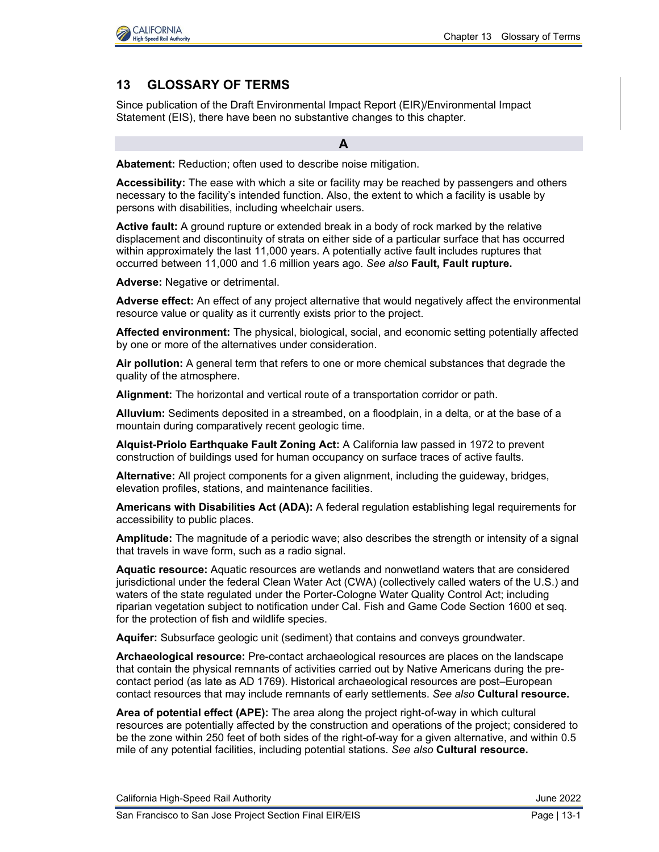

# **13 GLOSSARY OF TERMS**

Since publication of the Draft Environmental Impact Report (EIR)/Environmental Impact Statement (EIS), there have been no substantive changes to this chapter.

**A**

**Abatement:** Reduction; often used to describe noise mitigation.

**Accessibility:** The ease with which a site or facility may be reached by passengers and others necessary to the facility's intended function. Also, the extent to which a facility is usable by persons with disabilities, including wheelchair users.

**Active fault:** A ground rupture or extended break in a body of rock marked by the relative displacement and discontinuity of strata on either side of a particular surface that has occurred within approximately the last 11,000 years. A potentially active fault includes ruptures that occurred between 11,000 and 1.6 million years ago. *See also* **Fault, Fault rupture.**

**Adverse:** Negative or detrimental.

**Adverse effect:** An effect of any project alternative that would negatively affect the environmental resource value or quality as it currently exists prior to the project.

**Affected environment:** The physical, biological, social, and economic setting potentially affected by one or more of the alternatives under consideration.

**Air pollution:** A general term that refers to one or more chemical substances that degrade the quality of the atmosphere.

**Alignment:** The horizontal and vertical route of a transportation corridor or path.

**Alluvium:** Sediments deposited in a streambed, on a floodplain, in a delta, or at the base of a mountain during comparatively recent geologic time.

**Alquist-Priolo Earthquake Fault Zoning Act:** A California law passed in 1972 to prevent construction of buildings used for human occupancy on surface traces of active faults.

**Alternative:** All project components for a given alignment, including the guideway, bridges, elevation profiles, stations, and maintenance facilities.

**Americans with Disabilities Act (ADA):** A federal regulation establishing legal requirements for accessibility to public places.

**Amplitude:** The magnitude of a periodic wave; also describes the strength or intensity of a signal that travels in wave form, such as a radio signal.

**Aquatic resource:** Aquatic resources are wetlands and nonwetland waters that are considered jurisdictional under the federal Clean Water Act (CWA) (collectively called waters of the U.S.) and waters of the state regulated under the Porter-Cologne Water Quality Control Act; including riparian vegetation subject to notification under Cal. Fish and Game Code Section 1600 et seq. for the protection of fish and wildlife species.

**Aquifer:** Subsurface geologic unit (sediment) that contains and conveys groundwater.

**Archaeological resource:** Pre-contact archaeological resources are places on the landscape that contain the physical remnants of activities carried out by Native Americans during the precontact period (as late as AD 1769). Historical archaeological resources are post–European contact resources that may include remnants of early settlements. *See also* **Cultural resource.**

**Area of potential effect (APE):** The area along the project right-of-way in which cultural resources are potentially affected by the construction and operations of the project; considered to be the zone within 250 feet of both sides of the right-of-way for a given alternative, and within 0.5 mile of any potential facilities, including potential stations. *See also* **Cultural resource.**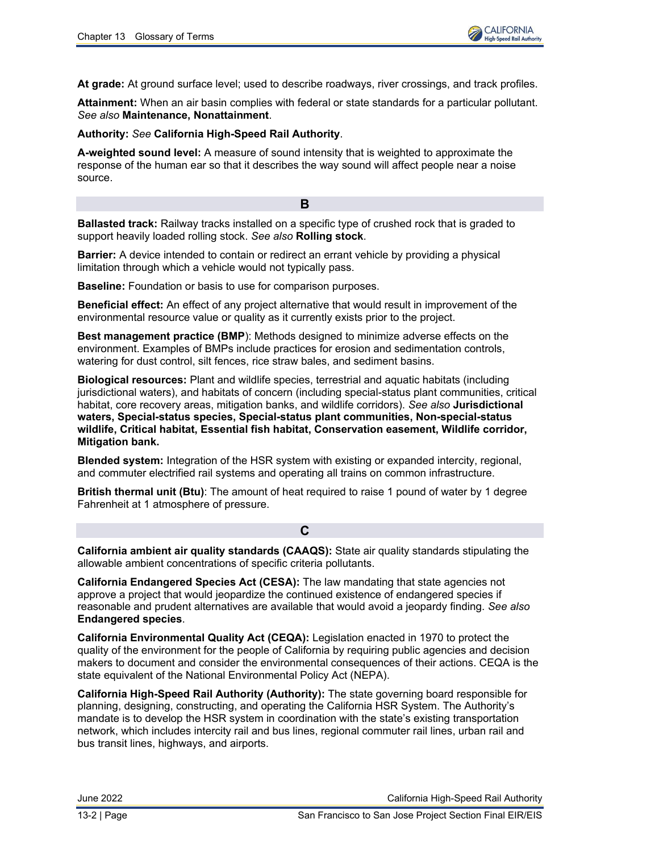**At grade:** At ground surface level; used to describe roadways, river crossings, and track profiles.

**Attainment:** When an air basin complies with federal or state standards for a particular pollutant. *See also* **Maintenance, Nonattainment**.

### **Authority:** *See* **California High-Speed Rail Authority**.

**A-weighted sound level:** A measure of sound intensity that is weighted to approximate the response of the human ear so that it describes the way sound will affect people near a noise source.

**Ballasted track:** Railway tracks installed on a specific type of crushed rock that is graded to support heavily loaded rolling stock. *See also* **Rolling stock**.

**B**

**Barrier:** A device intended to contain or redirect an errant vehicle by providing a physical limitation through which a vehicle would not typically pass.

**Baseline:** Foundation or basis to use for comparison purposes.

**Beneficial effect:** An effect of any project alternative that would result in improvement of the environmental resource value or quality as it currently exists prior to the project.

**Best management practice (BMP**): Methods designed to minimize adverse effects on the environment. Examples of BMPs include practices for erosion and sedimentation controls, watering for dust control, silt fences, rice straw bales, and sediment basins.

**Biological resources:** Plant and wildlife species, terrestrial and aquatic habitats (including jurisdictional waters), and habitats of concern (including special-status plant communities, critical habitat, core recovery areas, mitigation banks, and wildlife corridors). *See also* **Jurisdictional waters, Special-status species, Special-status plant communities, Non-special-status wildlife, Critical habitat, Essential fish habitat, Conservation easement, Wildlife corridor, Mitigation bank.**

**Blended system:** Integration of the HSR system with existing or expanded intercity, regional, and commuter electrified rail systems and operating all trains on common infrastructure.

**British thermal unit (Btu)**: The amount of heat required to raise 1 pound of water by 1 degree Fahrenheit at 1 atmosphere of pressure.

# **C**

**California ambient air quality standards (CAAQS):** State air quality standards stipulating the allowable ambient concentrations of specific criteria pollutants.

**California Endangered Species Act (CESA):** The law mandating that state agencies not approve a project that would jeopardize the continued existence of endangered species if reasonable and prudent alternatives are available that would avoid a jeopardy finding. *See also* **Endangered species**.

**California Environmental Quality Act (CEQA):** Legislation enacted in 1970 to protect the quality of the environment for the people of California by requiring public agencies and decision makers to document and consider the environmental consequences of their actions. CEQA is the state equivalent of the National Environmental Policy Act (NEPA).

**California High-Speed Rail Authority (Authority):** The state governing board responsible for planning, designing, constructing, and operating the California HSR System. The Authority's mandate is to develop the HSR system in coordination with the state's existing transportation network, which includes intercity rail and bus lines, regional commuter rail lines, urban rail and bus transit lines, highways, and airports.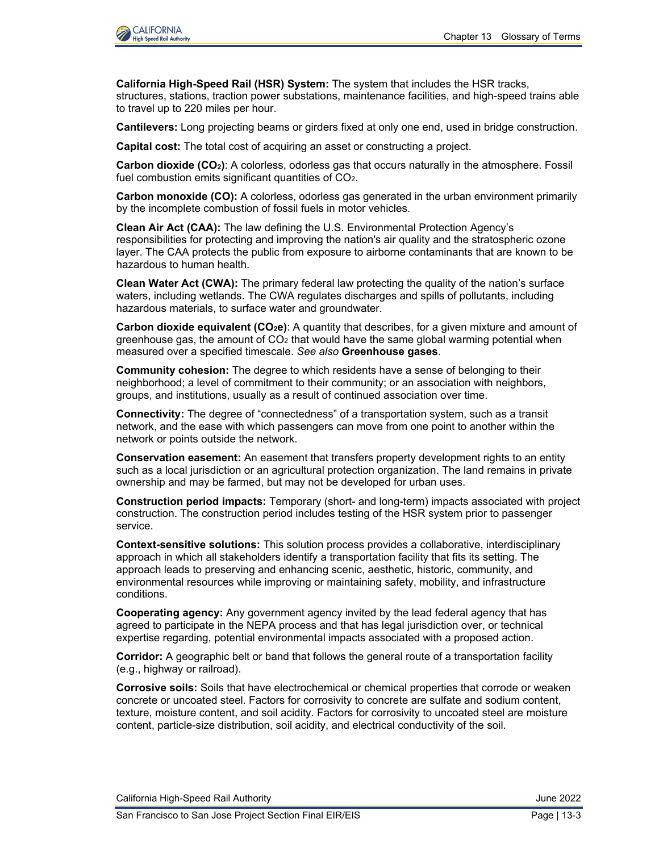

**California High-Speed Rail (HSR) System:** The system that includes the HSR tracks, structures, stations, traction power substations, maintenance facilities, and high-speed trains able to travel up to 220 miles per hour.

**Cantilevers:** Long projecting beams or girders fixed at only one end, used in bridge construction.

**Capital cost:** The total cost of acquiring an asset or constructing a project.

**Carbon dioxide (CO2)**: A colorless, odorless gas that occurs naturally in the atmosphere. Fossil fuel combustion emits significant quantities of CO<sub>2</sub>.

**Carbon monoxide (CO):** A colorless, odorless gas generated in the urban environment primarily by the incomplete combustion of fossil fuels in motor vehicles.

**Clean Air Act (CAA):** The law defining the U.S. Environmental Protection Agency's responsibilities for protecting and improving the nation's air quality and the stratospheric ozone layer. The CAA protects the public from exposure to airborne contaminants that are known to be hazardous to human health.

**Clean Water Act (CWA):** The primary federal law protecting the quality of the nation's surface waters, including wetlands. The CWA regulates discharges and spills of pollutants, including hazardous materials, to surface water and groundwater.

**Carbon dioxide equivalent (CO2e)**: A quantity that describes, for a given mixture and amount of greenhouse gas, the amount of  $CO<sub>2</sub>$  that would have the same global warming potential when measured over a specified timescale. *See also* **Greenhouse gases**.

**Community cohesion:** The degree to which residents have a sense of belonging to their neighborhood; a level of commitment to their community; or an association with neighbors, groups, and institutions, usually as a result of continued association over time.

**Connectivity:** The degree of "connectedness" of a transportation system, such as a transit network, and the ease with which passengers can move from one point to another within the network or points outside the network.

**Conservation easement:** An easement that transfers property development rights to an entity such as a local jurisdiction or an agricultural protection organization. The land remains in private ownership and may be farmed, but may not be developed for urban uses.

**Construction period impacts:** Temporary (short- and long-term) impacts associated with project construction. The construction period includes testing of the HSR system prior to passenger service.

**Context-sensitive solutions:** This solution process provides a collaborative, interdisciplinary approach in which all stakeholders identify a transportation facility that fits its setting. The approach leads to preserving and enhancing scenic, aesthetic, historic, community, and environmental resources while improving or maintaining safety, mobility, and infrastructure conditions.

**Cooperating agency:** Any government agency invited by the lead federal agency that has agreed to participate in the NEPA process and that has legal jurisdiction over, or technical expertise regarding, potential environmental impacts associated with a proposed action.

**Corridor:** A geographic belt or band that follows the general route of a transportation facility (e.g., highway or railroad).

**Corrosive soils:** Soils that have electrochemical or chemical properties that corrode or weaken concrete or uncoated steel. Factors for corrosivity to concrete are sulfate and sodium content, texture, moisture content, and soil acidity. Factors for corrosivity to uncoated steel are moisture content, particle-size distribution, soil acidity, and electrical conductivity of the soil.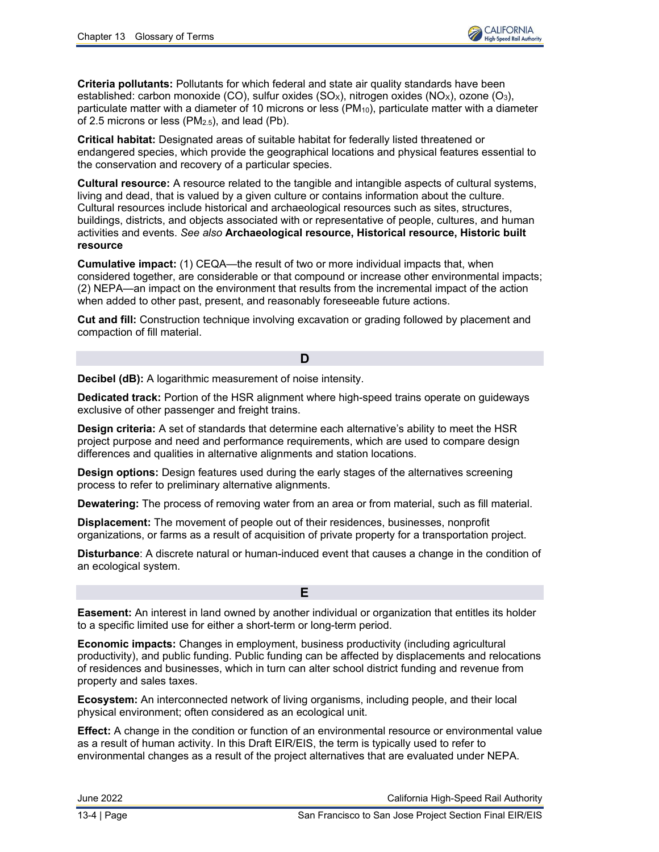

**Criteria pollutants:** Pollutants for which federal and state air quality standards have been established: carbon monoxide (CO), sulfur oxides  $(SO<sub>x</sub>)$ , nitrogen oxides  $(NO<sub>x</sub>)$ , ozone  $(O<sub>3</sub>)$ , particulate matter with a diameter of 10 microns or less  $(PM_{10})$ , particulate matter with a diameter of 2.5 microns or less (PM2.5), and lead (Pb).

**Critical habitat:** Designated areas of suitable habitat for federally listed threatened or endangered species, which provide the geographical locations and physical features essential to the conservation and recovery of a particular species.

**Cultural resource:** A resource related to the tangible and intangible aspects of cultural systems, living and dead, that is valued by a given culture or contains information about the culture. Cultural resources include historical and archaeological resources such as sites, structures, buildings, districts, and objects associated with or representative of people, cultures, and human activities and events. *See also* **Archaeological resource, Historical resource, Historic built resource**

**Cumulative impact:** (1) CEQA—the result of two or more individual impacts that, when considered together, are considerable or that compound or increase other environmental impacts; (2) NEPA—an impact on the environment that results from the incremental impact of the action when added to other past, present, and reasonably foreseeable future actions.

**Cut and fill:** Construction technique involving excavation or grading followed by placement and compaction of fill material.

#### **D**

**Decibel (dB):** A logarithmic measurement of noise intensity.

**Dedicated track:** Portion of the HSR alignment where high-speed trains operate on guideways exclusive of other passenger and freight trains.

**Design criteria:** A set of standards that determine each alternative's ability to meet the HSR project purpose and need and performance requirements, which are used to compare design differences and qualities in alternative alignments and station locations.

**Design options:** Design features used during the early stages of the alternatives screening process to refer to preliminary alternative alignments.

**Dewatering:** The process of removing water from an area or from material, such as fill material.

**Displacement:** The movement of people out of their residences, businesses, nonprofit organizations, or farms as a result of acquisition of private property for a transportation project.

**Disturbance**: A discrete natural or human-induced event that causes a change in the condition of an ecological system.

**Easement:** An interest in land owned by another individual or organization that entitles its holder to a specific limited use for either a short-term or long-term period.

**E**

**Economic impacts:** Changes in employment, business productivity (including agricultural productivity), and public funding. Public funding can be affected by displacements and relocations of residences and businesses, which in turn can alter school district funding and revenue from property and sales taxes.

**Ecosystem:** An interconnected network of living organisms, including people, and their local physical environment; often considered as an ecological unit.

**Effect:** A change in the condition or function of an environmental resource or environmental value as a result of human activity. In this Draft EIR/EIS, the term is typically used to refer to environmental changes as a result of the project alternatives that are evaluated under NEPA.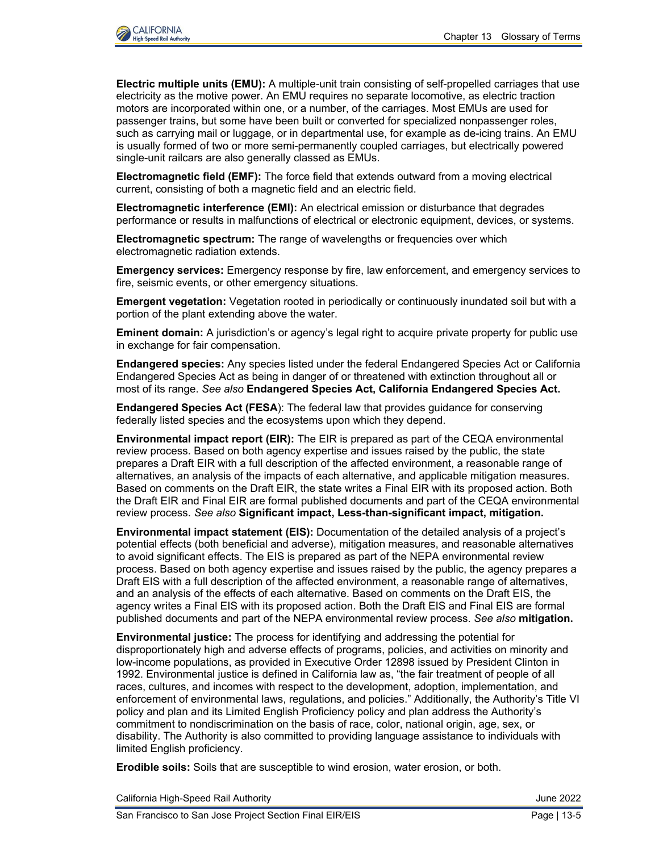

**Electric multiple units (EMU):** A multiple-unit train consisting of self-propelled carriages that use electricity as the motive power. An EMU requires no separate locomotive, as electric traction motors are incorporated within one, or a number, of the carriages. Most EMUs are used for passenger trains, but some have been built or converted for specialized nonpassenger roles, such as carrying mail or luggage, or in departmental use, for example as de-icing trains. An EMU is usually formed of two or more semi-permanently coupled carriages, but electrically powered single-unit railcars are also generally classed as EMUs.

**Electromagnetic field (EMF):** The force field that extends outward from a moving electrical current, consisting of both a magnetic field and an electric field.

**Electromagnetic interference (EMI):** An electrical emission or disturbance that degrades performance or results in malfunctions of electrical or electronic equipment, devices, or systems.

**Electromagnetic spectrum:** The range of wavelengths or frequencies over which electromagnetic radiation extends.

**Emergency services:** Emergency response by fire, law enforcement, and emergency services to fire, seismic events, or other emergency situations.

**Emergent vegetation:** Vegetation rooted in periodically or continuously inundated soil but with a portion of the plant extending above the water.

**Eminent domain:** A jurisdiction's or agency's legal right to acquire private property for public use in exchange for fair compensation.

**Endangered species:** Any species listed under the federal Endangered Species Act or California Endangered Species Act as being in danger of or threatened with extinction throughout all or most of its range. *See also* **Endangered Species Act, California Endangered Species Act.**

**Endangered Species Act (FESA**): The federal law that provides guidance for conserving federally listed species and the ecosystems upon which they depend.

**Environmental impact report (EIR):** The EIR is prepared as part of the CEQA environmental review process. Based on both agency expertise and issues raised by the public, the state prepares a Draft EIR with a full description of the affected environment, a reasonable range of alternatives, an analysis of the impacts of each alternative, and applicable mitigation measures. Based on comments on the Draft EIR, the state writes a Final EIR with its proposed action. Both the Draft EIR and Final EIR are formal published documents and part of the CEQA environmental review process. *See also* **Significant impact, Less-than-significant impact, mitigation.**

**Environmental impact statement (EIS):** Documentation of the detailed analysis of a project's potential effects (both beneficial and adverse), mitigation measures, and reasonable alternatives to avoid significant effects. The EIS is prepared as part of the NEPA environmental review process. Based on both agency expertise and issues raised by the public, the agency prepares a Draft EIS with a full description of the affected environment, a reasonable range of alternatives, and an analysis of the effects of each alternative. Based on comments on the Draft EIS, the agency writes a Final EIS with its proposed action. Both the Draft EIS and Final EIS are formal published documents and part of the NEPA environmental review process. *See also* **mitigation.**

**Environmental justice:** The process for identifying and addressing the potential for disproportionately high and adverse effects of programs, policies, and activities on minority and low-income populations, as provided in Executive Order 12898 issued by President Clinton in 1992. Environmental justice is defined in California law as, "the fair treatment of people of all races, cultures, and incomes with respect to the development, adoption, implementation, and enforcement of environmental laws, regulations, and policies." Additionally, the Authority's Title VI policy and plan and its Limited English Proficiency policy and plan address the Authority's commitment to nondiscrimination on the basis of race, color, national origin, age, sex, or disability. The Authority is also committed to providing language assistance to individuals with limited English proficiency.

**Erodible soils:** Soils that are susceptible to wind erosion, water erosion, or both.

California High-Speed Rail Authority **California High-Speed Rail Authority** June 2022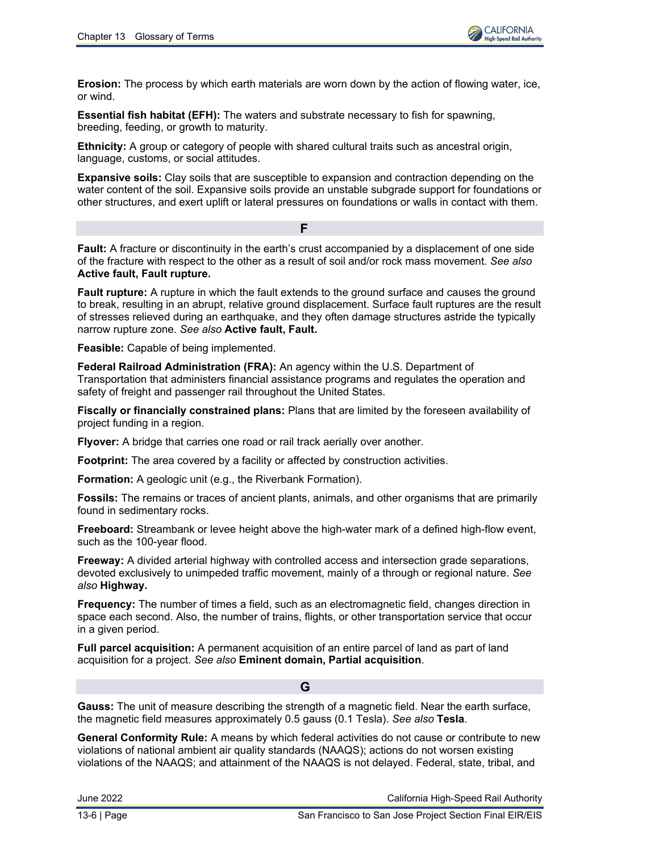**Erosion:** The process by which earth materials are worn down by the action of flowing water, ice, or wind.

**Essential fish habitat (EFH):** The waters and substrate necessary to fish for spawning, breeding, feeding, or growth to maturity.

**Ethnicity:** A group or category of people with shared cultural traits such as ancestral origin, language, customs, or social attitudes.

**Expansive soils:** Clay soils that are susceptible to expansion and contraction depending on the water content of the soil. Expansive soils provide an unstable subgrade support for foundations or other structures, and exert uplift or lateral pressures on foundations or walls in contact with them.

**Fault:** A fracture or discontinuity in the earth's crust accompanied by a displacement of one side of the fracture with respect to the other as a result of soil and/or rock mass movement. *See also* **Active fault, Fault rupture.**

**F**

**Fault rupture:** A rupture in which the fault extends to the ground surface and causes the ground to break, resulting in an abrupt, relative ground displacement. Surface fault ruptures are the result of stresses relieved during an earthquake, and they often damage structures astride the typically narrow rupture zone. *See also* **Active fault, Fault.**

**Feasible:** Capable of being implemented.

**Federal Railroad Administration (FRA):** An agency within the U.S. Department of Transportation that administers financial assistance programs and regulates the operation and safety of freight and passenger rail throughout the United States.

**Fiscally or financially constrained plans:** Plans that are limited by the foreseen availability of project funding in a region.

**Flyover:** A bridge that carries one road or rail track aerially over another.

**Footprint:** The area covered by a facility or affected by construction activities.

**Formation:** A geologic unit (e.g., the Riverbank Formation).

**Fossils:** The remains or traces of ancient plants, animals, and other organisms that are primarily found in sedimentary rocks.

**Freeboard:** Streambank or levee height above the high-water mark of a defined high-flow event, such as the 100-year flood.

**Freeway:** A divided arterial highway with controlled access and intersection grade separations, devoted exclusively to unimpeded traffic movement, mainly of a through or regional nature. *See also* **Highway.**

**Frequency:** The number of times a field, such as an electromagnetic field, changes direction in space each second. Also, the number of trains, flights, or other transportation service that occur in a given period.

**Full parcel acquisition:** A permanent acquisition of an entire parcel of land as part of land acquisition for a project. *See also* **Eminent domain, Partial acquisition**.

## **G**

**Gauss:** The unit of measure describing the strength of a magnetic field. Near the earth surface, the magnetic field measures approximately 0.5 gauss (0.1 Tesla). *See also* **Tesla**.

**General Conformity Rule:** A means by which federal activities do not cause or contribute to new violations of national ambient air quality standards (NAAQS); actions do not worsen existing violations of the NAAQS; and attainment of the NAAQS is not delayed. Federal, state, tribal, and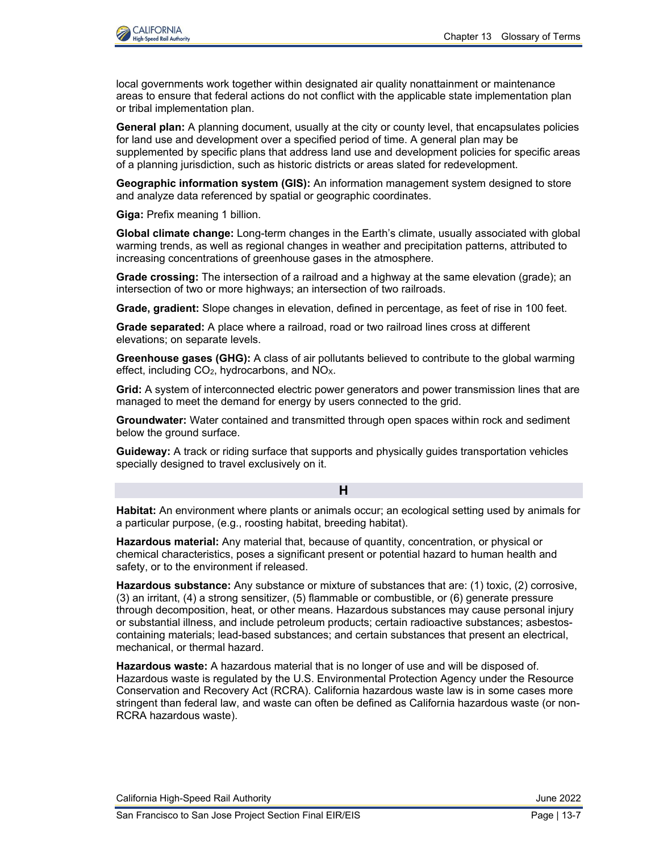

local governments work together within designated air quality nonattainment or maintenance areas to ensure that federal actions do not conflict with the applicable state implementation plan or tribal implementation plan.

**General plan:** A planning document, usually at the city or county level, that encapsulates policies for land use and development over a specified period of time. A general plan may be supplemented by specific plans that address land use and development policies for specific areas of a planning jurisdiction, such as historic districts or areas slated for redevelopment.

**Geographic information system (GIS):** An information management system designed to store and analyze data referenced by spatial or geographic coordinates.

**Giga:** Prefix meaning 1 billion.

**Global climate change:** Long-term changes in the Earth's climate, usually associated with global warming trends, as well as regional changes in weather and precipitation patterns, attributed to increasing concentrations of greenhouse gases in the atmosphere.

**Grade crossing:** The intersection of a railroad and a highway at the same elevation (grade); an intersection of two or more highways; an intersection of two railroads.

**Grade, gradient:** Slope changes in elevation, defined in percentage, as feet of rise in 100 feet.

**Grade separated:** A place where a railroad, road or two railroad lines cross at different elevations; on separate levels.

**Greenhouse gases (GHG):** A class of air pollutants believed to contribute to the global warming effect, including  $CO<sub>2</sub>$ , hydrocarbons, and  $NO<sub>X</sub>$ .

**Grid:** A system of interconnected electric power generators and power transmission lines that are managed to meet the demand for energy by users connected to the grid.

**Groundwater:** Water contained and transmitted through open spaces within rock and sediment below the ground surface.

**Guideway:** A track or riding surface that supports and physically guides transportation vehicles specially designed to travel exclusively on it.

### **H**

**Habitat:** An environment where plants or animals occur; an ecological setting used by animals for a particular purpose, (e.g., roosting habitat, breeding habitat).

**Hazardous material:** Any material that, because of quantity, concentration, or physical or chemical characteristics, poses a significant present or potential hazard to human health and safety, or to the environment if released.

**Hazardous substance:** Any substance or mixture of substances that are: (1) toxic, (2) corrosive, (3) an irritant, (4) a strong sensitizer, (5) flammable or combustible, or (6) generate pressure through decomposition, heat, or other means. Hazardous substances may cause personal injury or substantial illness, and include petroleum products; certain radioactive substances; asbestoscontaining materials; lead-based substances; and certain substances that present an electrical, mechanical, or thermal hazard.

**Hazardous waste:** A hazardous material that is no longer of use and will be disposed of. Hazardous waste is regulated by the U.S. Environmental Protection Agency under the Resource Conservation and Recovery Act (RCRA). California hazardous waste law is in some cases more stringent than federal law, and waste can often be defined as California hazardous waste (or non-RCRA hazardous waste).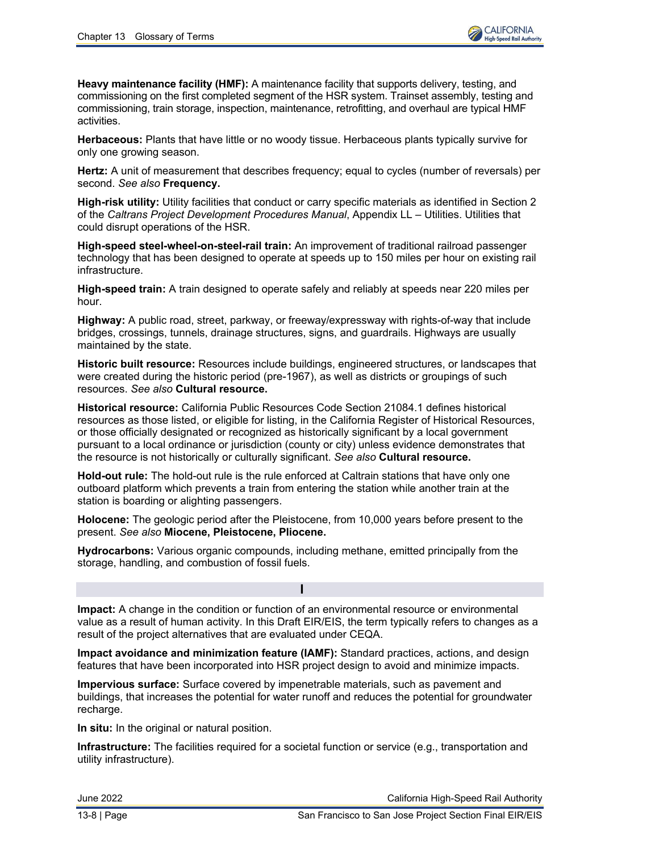**Heavy maintenance facility (HMF):** A maintenance facility that supports delivery, testing, and commissioning on the first completed segment of the HSR system. Trainset assembly, testing and commissioning, train storage, inspection, maintenance, retrofitting, and overhaul are typical HMF activities.

**Herbaceous:** Plants that have little or no woody tissue. Herbaceous plants typically survive for only one growing season.

**Hertz:** A unit of measurement that describes frequency; equal to cycles (number of reversals) per second. *See also* **Frequency.**

**High-risk utility:** Utility facilities that conduct or carry specific materials as identified in Section 2 of the *Caltrans Project Development Procedures Manual*, Appendix LL – Utilities. Utilities that could disrupt operations of the HSR.

**High-speed steel-wheel-on-steel-rail train:** An improvement of traditional railroad passenger technology that has been designed to operate at speeds up to 150 miles per hour on existing rail infrastructure.

**High-speed train:** A train designed to operate safely and reliably at speeds near 220 miles per hour.

**Highway:** A public road, street, parkway, or freeway/expressway with rights-of-way that include bridges, crossings, tunnels, drainage structures, signs, and guardrails. Highways are usually maintained by the state.

**Historic built resource:** Resources include buildings, engineered structures, or landscapes that were created during the historic period (pre-1967), as well as districts or groupings of such resources. *See also* **Cultural resource.**

**Historical resource:** California Public Resources Code Section 21084.1 defines historical resources as those listed, or eligible for listing, in the California Register of Historical Resources, or those officially designated or recognized as historically significant by a local government pursuant to a local ordinance or jurisdiction (county or city) unless evidence demonstrates that the resource is not historically or culturally significant. *See also* **Cultural resource.**

**Hold-out rule:** The hold-out rule is the rule enforced at Caltrain stations that have only one outboard platform which prevents a train from entering the station while another train at the station is boarding or alighting passengers.

**Holocene:** The geologic period after the Pleistocene, from 10,000 years before present to the present. *See also* **Miocene, Pleistocene, Pliocene.**

**Hydrocarbons:** Various organic compounds, including methane, emitted principally from the storage, handling, and combustion of fossil fuels.

**I**

**Impact:** A change in the condition or function of an environmental resource or environmental value as a result of human activity. In this Draft EIR/EIS, the term typically refers to changes as a result of the project alternatives that are evaluated under CEQA.

**Impact avoidance and minimization feature (IAMF):** Standard practices, actions, and design features that have been incorporated into HSR project design to avoid and minimize impacts.

**Impervious surface:** Surface covered by impenetrable materials, such as pavement and buildings, that increases the potential for water runoff and reduces the potential for groundwater recharge.

**In situ:** In the original or natural position.

**Infrastructure:** The facilities required for a societal function or service (e.g., transportation and utility infrastructure).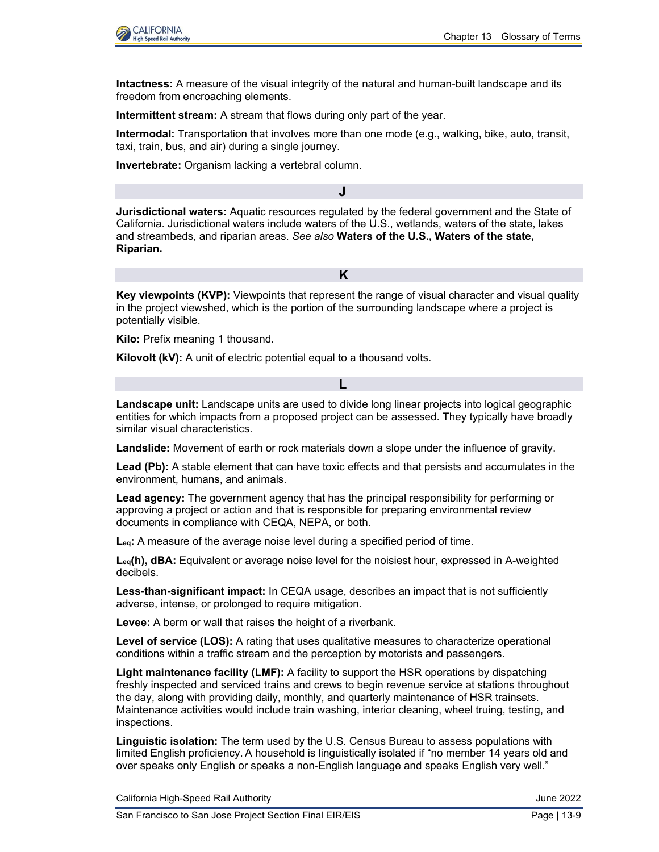

**Intactness:** A measure of the visual integrity of the natural and human-built landscape and its freedom from encroaching elements.

**Intermittent stream:** A stream that flows during only part of the year.

**Intermodal:** Transportation that involves more than one mode (e.g., walking, bike, auto, transit, taxi, train, bus, and air) during a single journey.

**Invertebrate:** Organism lacking a vertebral column.

**Jurisdictional waters:** Aquatic resources regulated by the federal government and the State of California. Jurisdictional waters include waters of the U.S., wetlands, waters of the state, lakes and streambeds, and riparian areas. *See also* **Waters of the U.S., Waters of the state, Riparian.**

**J**

**K**

**Key viewpoints (KVP):** Viewpoints that represent the range of visual character and visual quality in the project viewshed, which is the portion of the surrounding landscape where a project is potentially visible.

**Kilo:** Prefix meaning 1 thousand.

**Kilovolt (kV):** A unit of electric potential equal to a thousand volts.

**Landscape unit:** Landscape units are used to divide long linear projects into logical geographic entities for which impacts from a proposed project can be assessed. They typically have broadly similar visual characteristics.

**L**

**Landslide:** Movement of earth or rock materials down a slope under the influence of gravity.

**Lead (Pb):** A stable element that can have toxic effects and that persists and accumulates in the environment, humans, and animals.

**Lead agency:** The government agency that has the principal responsibility for performing or approving a project or action and that is responsible for preparing environmental review documents in compliance with CEQA, NEPA, or both.

**Leq:** A measure of the average noise level during a specified period of time.

**Leq(h), dBA:** Equivalent or average noise level for the noisiest hour, expressed in A-weighted decibels.

**Less-than-significant impact:** In CEQA usage, describes an impact that is not sufficiently adverse, intense, or prolonged to require mitigation.

**Levee:** A berm or wall that raises the height of a riverbank.

**Level of service (LOS):** A rating that uses qualitative measures to characterize operational conditions within a traffic stream and the perception by motorists and passengers.

**Light maintenance facility (LMF):** A facility to support the HSR operations by dispatching freshly inspected and serviced trains and crews to begin revenue service at stations throughout the day, along with providing daily, monthly, and quarterly maintenance of HSR trainsets. Maintenance activities would include train washing, interior cleaning, wheel truing, testing, and inspections.

**Linguistic isolation:** The term used by the U.S. Census Bureau to assess populations with limited English proficiency. A household is linguistically isolated if "no member 14 years old and over speaks only English or speaks a non-English language and speaks English very well."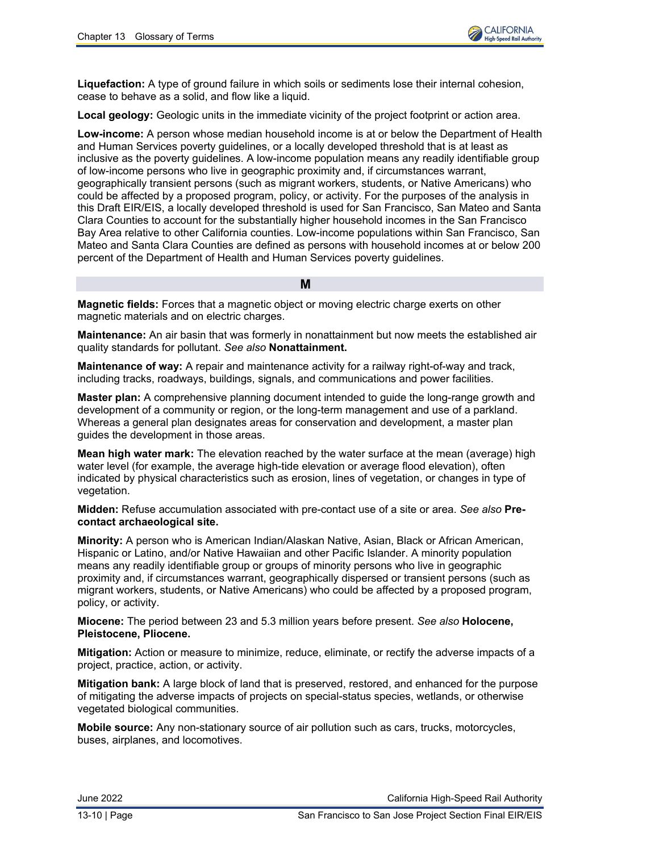

**Liquefaction:** A type of ground failure in which soils or sediments lose their internal cohesion, cease to behave as a solid, and flow like a liquid.

**Local geology:** Geologic units in the immediate vicinity of the project footprint or action area.

**Low-income:** A person whose median household income is at or below the Department of Health and Human Services poverty guidelines, or a locally developed threshold that is at least as inclusive as the poverty guidelines. A low-income population means any readily identifiable group of low-income persons who live in geographic proximity and, if circumstances warrant, geographically transient persons (such as migrant workers, students, or Native Americans) who could be affected by a proposed program, policy, or activity. For the purposes of the analysis in this Draft EIR/EIS, a locally developed threshold is used for San Francisco, San Mateo and Santa Clara Counties to account for the substantially higher household incomes in the San Francisco Bay Area relative to other California counties. Low-income populations within San Francisco, San Mateo and Santa Clara Counties are defined as persons with household incomes at or below 200 percent of the Department of Health and Human Services poverty guidelines.

**M**

**Magnetic fields:** Forces that a magnetic object or moving electric charge exerts on other magnetic materials and on electric charges.

**Maintenance:** An air basin that was formerly in nonattainment but now meets the established air quality standards for pollutant. *See also* **Nonattainment.**

**Maintenance of way:** A repair and maintenance activity for a railway right-of-way and track, including tracks, roadways, buildings, signals, and communications and power facilities.

**Master plan:** A comprehensive planning document intended to guide the long-range growth and development of a community or region, or the long-term management and use of a parkland. Whereas a general plan designates areas for conservation and development, a master plan guides the development in those areas.

**Mean high water mark:** The elevation reached by the water surface at the mean (average) high water level (for example, the average high-tide elevation or average flood elevation), often indicated by physical characteristics such as erosion, lines of vegetation, or changes in type of vegetation.

**Midden:** Refuse accumulation associated with pre-contact use of a site or area. *See also* **Precontact archaeological site.**

**Minority:** A person who is American Indian/Alaskan Native, Asian, Black or African American, Hispanic or Latino, and/or Native Hawaiian and other Pacific Islander. A minority population means any readily identifiable group or groups of minority persons who live in geographic proximity and, if circumstances warrant, geographically dispersed or transient persons (such as migrant workers, students, or Native Americans) who could be affected by a proposed program, policy, or activity.

**Miocene:** The period between 23 and 5.3 million years before present. *See also* **Holocene, Pleistocene, Pliocene.**

**Mitigation:** Action or measure to minimize, reduce, eliminate, or rectify the adverse impacts of a project, practice, action, or activity.

**Mitigation bank:** A large block of land that is preserved, restored, and enhanced for the purpose of mitigating the adverse impacts of projects on special-status species, wetlands, or otherwise vegetated biological communities.

**Mobile source:** Any non-stationary source of air pollution such as cars, trucks, motorcycles, buses, airplanes, and locomotives.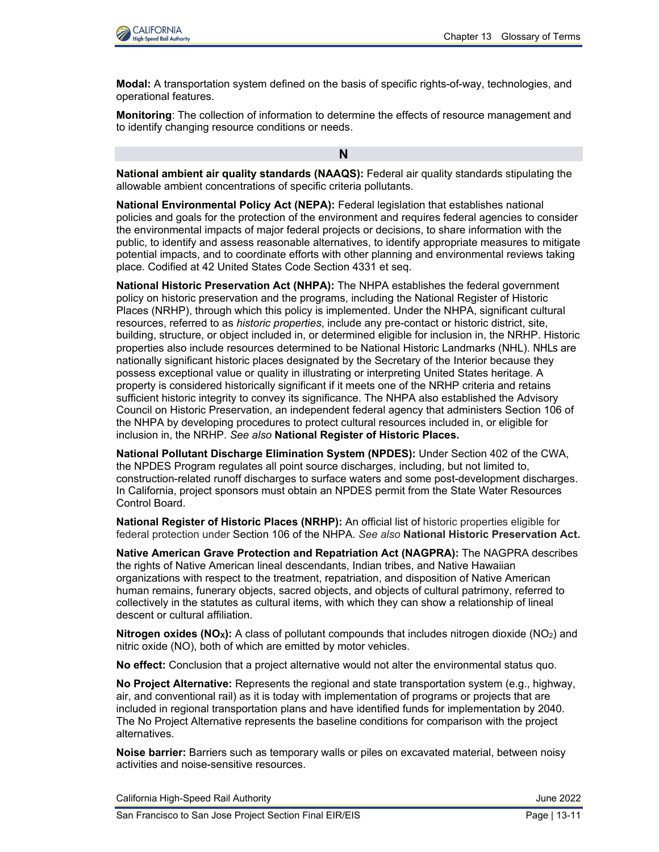

**Modal:** A transportation system defined on the basis of specific rights-of-way, technologies, and operational features.

**Monitoring**: The collection of information to determine the effects of resource management and to identify changing resource conditions or needs.

**National ambient air quality standards (NAAQS):** Federal air quality standards stipulating the allowable ambient concentrations of specific criteria pollutants.

**N**

**National Environmental Policy Act (NEPA):** Federal legislation that establishes national policies and goals for the protection of the environment and requires federal agencies to consider the environmental impacts of major federal projects or decisions, to share information with the public, to identify and assess reasonable alternatives, to identify appropriate measures to mitigate potential impacts, and to coordinate efforts with other planning and environmental reviews taking place. Codified at 42 United States Code Section 4331 et seq.

**National Historic Preservation Act (NHPA):** The NHPA establishes the federal government policy on historic preservation and the programs, including the National Register of Historic Places (NRHP), through which this policy is implemented. Under the NHPA, significant cultural resources, referred to as *historic properties*, include any pre-contact or historic district, site, building, structure, or object included in, or determined eligible for inclusion in, the NRHP. Historic properties also include resources determined to be National Historic Landmarks (NHL). NHLs are nationally significant historic places designated by the Secretary of the Interior because they possess exceptional value or quality in illustrating or interpreting United States heritage. A property is considered historically significant if it meets one of the NRHP criteria and retains sufficient historic integrity to convey its significance. The NHPA also established the Advisory Council on Historic Preservation, an independent federal agency that administers Section 106 of the NHPA by developing procedures to protect cultural resources included in, or eligible for inclusion in, the NRHP. *See also* **National Register of Historic Places.**

**National Pollutant Discharge Elimination System (NPDES):** Under Section 402 of the CWA, the NPDES Program regulates all point source discharges, including, but not limited to, construction-related runoff discharges to surface waters and some post-development discharges. In California, project sponsors must obtain an NPDES permit from the State Water Resources Control Board.

**National Register of Historic Places (NRHP):** An official list of historic properties eligible for federal protection under Section 106 of the NHPA. *See also* **National Historic Preservation Act.**

**Native American Grave Protection and Repatriation Act (NAGPRA):** The NAGPRA describes the rights of Native American lineal descendants, Indian tribes, and Native Hawaiian organizations with respect to the treatment, repatriation, and disposition of Native American human remains, funerary objects, sacred objects, and objects of cultural patrimony, referred to collectively in the statutes as cultural items, with which they can show a relationship of lineal descent or cultural affiliation.

**Nitrogen oxides (NO<sub>x</sub>):** A class of pollutant compounds that includes nitrogen dioxide (NO<sub>2</sub>) and nitric oxide (NO), both of which are emitted by motor vehicles.

**No effect:** Conclusion that a project alternative would not alter the environmental status quo.

**No Project Alternative:** Represents the regional and state transportation system (e.g., highway, air, and conventional rail) as it is today with implementation of programs or projects that are included in regional transportation plans and have identified funds for implementation by 2040. The No Project Alternative represents the baseline conditions for comparison with the project alternatives.

**Noise barrier:** Barriers such as temporary walls or piles on excavated material, between noisy activities and noise-sensitive resources.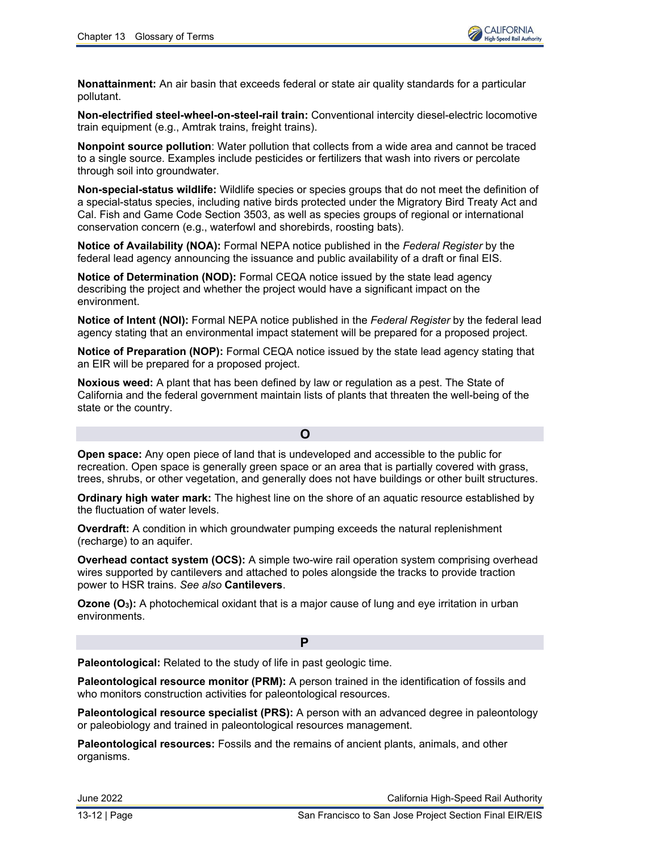**Nonattainment:** An air basin that exceeds federal or state air quality standards for a particular pollutant.

**Non-electrified steel-wheel-on-steel-rail train:** Conventional intercity diesel-electric locomotive train equipment (e.g., Amtrak trains, freight trains).

**Nonpoint source pollution**: Water pollution that collects from a wide area and cannot be traced to a single source. Examples include pesticides or fertilizers that wash into rivers or percolate through soil into groundwater.

**Non-special-status wildlife:** Wildlife species or species groups that do not meet the definition of a special-status species, including native birds protected under the Migratory Bird Treaty Act and Cal. Fish and Game Code Section 3503, as well as species groups of regional or international conservation concern (e.g., waterfowl and shorebirds, roosting bats).

**Notice of Availability (NOA):** Formal NEPA notice published in the *Federal Register* by the federal lead agency announcing the issuance and public availability of a draft or final EIS.

**Notice of Determination (NOD):** Formal CEQA notice issued by the state lead agency describing the project and whether the project would have a significant impact on the environment.

**Notice of Intent (NOI):** Formal NEPA notice published in the *Federal Register* by the federal lead agency stating that an environmental impact statement will be prepared for a proposed project.

**Notice of Preparation (NOP):** Formal CEQA notice issued by the state lead agency stating that an EIR will be prepared for a proposed project.

**Noxious weed:** A plant that has been defined by law or regulation as a pest. The State of California and the federal government maintain lists of plants that threaten the well-being of the state or the country.

**O**

**Open space:** Any open piece of land that is undeveloped and accessible to the public for recreation. Open space is generally green space or an area that is partially covered with grass, trees, shrubs, or other vegetation, and generally does not have buildings or other built structures.

**Ordinary high water mark:** The highest line on the shore of an aquatic resource established by the fluctuation of water levels.

**Overdraft:** A condition in which groundwater pumping exceeds the natural replenishment (recharge) to an aquifer.

**Overhead contact system (OCS):** A simple two-wire rail operation system comprising overhead wires supported by cantilevers and attached to poles alongside the tracks to provide traction power to HSR trains. *See also* **Cantilevers**.

**Ozone (O3):** A photochemical oxidant that is a major cause of lung and eye irritation in urban environments.

**Paleontological:** Related to the study of life in past geologic time.

**Paleontological resource monitor (PRM):** A person trained in the identification of fossils and who monitors construction activities for paleontological resources.

**P**

**Paleontological resource specialist (PRS):** A person with an advanced degree in paleontology or paleobiology and trained in paleontological resources management.

**Paleontological resources:** Fossils and the remains of ancient plants, animals, and other organisms.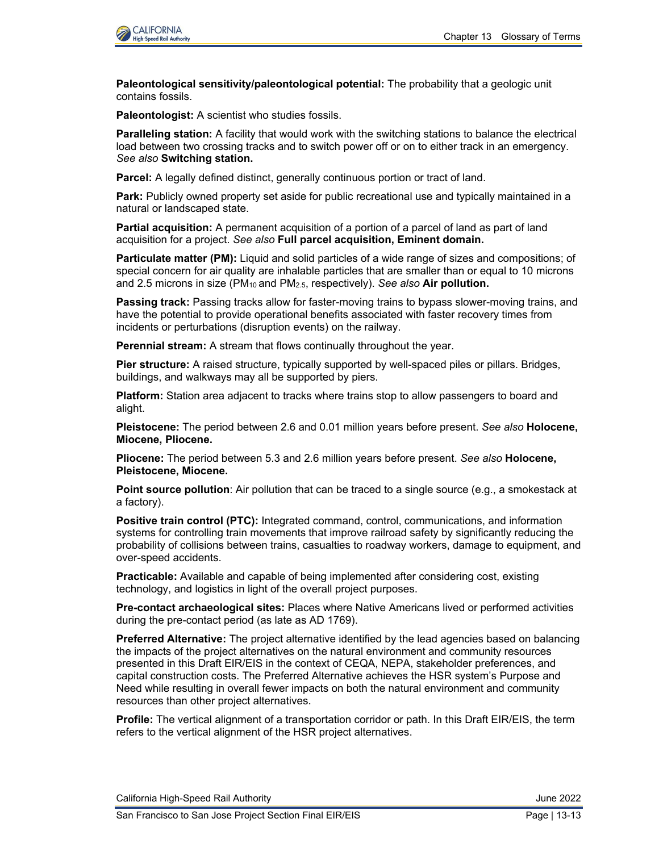

**Paleontological sensitivity/paleontological potential:** The probability that a geologic unit contains fossils.

**Paleontologist:** A scientist who studies fossils.

**Paralleling station:** A facility that would work with the switching stations to balance the electrical load between two crossing tracks and to switch power off or on to either track in an emergency. *See also* **Switching station.**

**Parcel:** A legally defined distinct, generally continuous portion or tract of land.

**Park:** Publicly owned property set aside for public recreational use and typically maintained in a natural or landscaped state.

**Partial acquisition:** A permanent acquisition of a portion of a parcel of land as part of land acquisition for a project. *See also* **Full parcel acquisition, Eminent domain.**

**Particulate matter (PM):** Liquid and solid particles of a wide range of sizes and compositions; of special concern for air quality are inhalable particles that are smaller than or equal to 10 microns and 2.5 microns in size (PM10 and PM2.5, respectively). *See also* **Air pollution.**

**Passing track:** Passing tracks allow for faster-moving trains to bypass slower-moving trains, and have the potential to provide operational benefits associated with faster recovery times from incidents or perturbations (disruption events) on the railway.

**Perennial stream:** A stream that flows continually throughout the year.

**Pier structure:** A raised structure, typically supported by well-spaced piles or pillars. Bridges, buildings, and walkways may all be supported by piers.

**Platform:** Station area adjacent to tracks where trains stop to allow passengers to board and alight.

**Pleistocene:** The period between 2.6 and 0.01 million years before present. *See also* **Holocene, Miocene, Pliocene.**

**Pliocene:** The period between 5.3 and 2.6 million years before present. *See also* **Holocene, Pleistocene, Miocene.**

**Point source pollution**: Air pollution that can be traced to a single source (e.g., a smokestack at a factory).

**Positive train control (PTC):** Integrated command, control, communications, and information systems for controlling train movements that improve railroad safety by significantly reducing the probability of collisions between trains, casualties to roadway workers, damage to equipment, and over-speed accidents.

**Practicable:** Available and capable of being implemented after considering cost, existing technology, and logistics in light of the overall project purposes.

**Pre-contact archaeological sites:** Places where Native Americans lived or performed activities during the pre-contact period (as late as AD 1769).

**Preferred Alternative:** The project alternative identified by the lead agencies based on balancing the impacts of the project alternatives on the natural environment and community resources presented in this Draft EIR/EIS in the context of CEQA, NEPA, stakeholder preferences, and capital construction costs. The Preferred Alternative achieves the HSR system's Purpose and Need while resulting in overall fewer impacts on both the natural environment and community resources than other project alternatives.

**Profile:** The vertical alignment of a transportation corridor or path. In this Draft EIR/EIS, the term refers to the vertical alignment of the HSR project alternatives.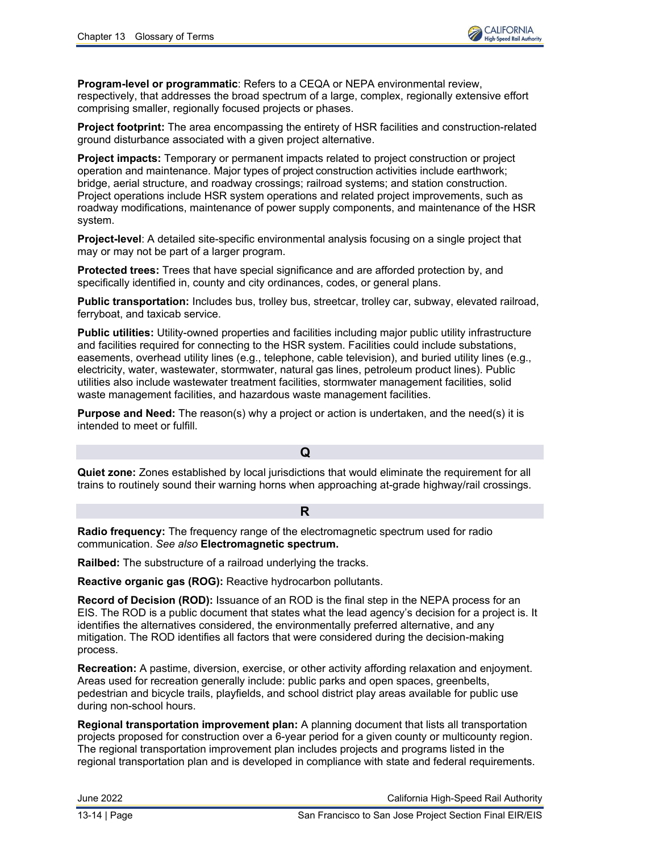

**Program-level or programmatic**: Refers to a CEQA or NEPA environmental review, respectively, that addresses the broad spectrum of a large, complex, regionally extensive effort comprising smaller, regionally focused projects or phases.

**Project footprint:** The area encompassing the entirety of HSR facilities and construction-related ground disturbance associated with a given project alternative.

**Project impacts:** Temporary or permanent impacts related to project construction or project operation and maintenance. Major types of project construction activities include earthwork; bridge, aerial structure, and roadway crossings; railroad systems; and station construction. Project operations include HSR system operations and related project improvements, such as roadway modifications, maintenance of power supply components, and maintenance of the HSR system.

**Project-level**: A detailed site-specific environmental analysis focusing on a single project that may or may not be part of a larger program.

**Protected trees:** Trees that have special significance and are afforded protection by, and specifically identified in, county and city ordinances, codes, or general plans.

**Public transportation:** Includes bus, trolley bus, streetcar, trolley car, subway, elevated railroad, ferryboat, and taxicab service.

**Public utilities:** Utility-owned properties and facilities including major public utility infrastructure and facilities required for connecting to the HSR system. Facilities could include substations, easements, overhead utility lines (e.g., telephone, cable television), and buried utility lines (e.g., electricity, water, wastewater, stormwater, natural gas lines, petroleum product lines). Public utilities also include wastewater treatment facilities, stormwater management facilities, solid waste management facilities, and hazardous waste management facilities.

**Purpose and Need:** The reason(s) why a project or action is undertaken, and the need(s) it is intended to meet or fulfill.

**Quiet zone:** Zones established by local jurisdictions that would eliminate the requirement for all trains to routinely sound their warning horns when approaching at-grade highway/rail crossings.

**Q**

### **R**

**Radio frequency:** The frequency range of the electromagnetic spectrum used for radio communication. *See also* **Electromagnetic spectrum.**

**Railbed:** The substructure of a railroad underlying the tracks.

**Reactive organic gas (ROG):** Reactive hydrocarbon pollutants.

**Record of Decision (ROD):** Issuance of an ROD is the final step in the NEPA process for an EIS. The ROD is a public document that states what the lead agency's decision for a project is. It identifies the alternatives considered, the environmentally preferred alternative, and any mitigation. The ROD identifies all factors that were considered during the decision-making process.

**Recreation:** A pastime, diversion, exercise, or other activity affording relaxation and enjoyment. Areas used for recreation generally include: public parks and open spaces, greenbelts, pedestrian and bicycle trails, playfields, and school district play areas available for public use during non-school hours.

**Regional transportation improvement plan:** A planning document that lists all transportation projects proposed for construction over a 6-year period for a given county or multicounty region. The regional transportation improvement plan includes projects and programs listed in the regional transportation plan and is developed in compliance with state and federal requirements.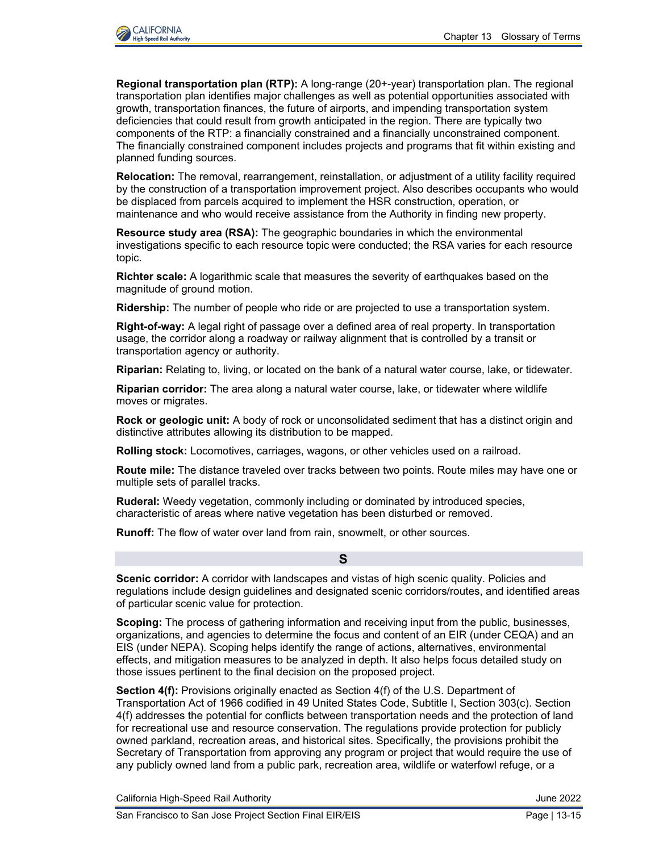

**Regional transportation plan (RTP):** A long-range (20+-year) transportation plan. The regional transportation plan identifies major challenges as well as potential opportunities associated with growth, transportation finances, the future of airports, and impending transportation system deficiencies that could result from growth anticipated in the region. There are typically two components of the RTP: a financially constrained and a financially unconstrained component. The financially constrained component includes projects and programs that fit within existing and planned funding sources.

**Relocation:** The removal, rearrangement, reinstallation, or adjustment of a utility facility required by the construction of a transportation improvement project. Also describes occupants who would be displaced from parcels acquired to implement the HSR construction, operation, or maintenance and who would receive assistance from the Authority in finding new property.

**Resource study area (RSA):** The geographic boundaries in which the environmental investigations specific to each resource topic were conducted; the RSA varies for each resource topic.

**Richter scale:** A logarithmic scale that measures the severity of earthquakes based on the magnitude of ground motion.

**Ridership:** The number of people who ride or are projected to use a transportation system.

**Right-of-way:** A legal right of passage over a defined area of real property. In transportation usage, the corridor along a roadway or railway alignment that is controlled by a transit or transportation agency or authority.

**Riparian:** Relating to, living, or located on the bank of a natural water course, lake, or tidewater.

**Riparian corridor:** The area along a natural water course, lake, or tidewater where wildlife moves or migrates.

**Rock or geologic unit:** A body of rock or unconsolidated sediment that has a distinct origin and distinctive attributes allowing its distribution to be mapped.

**Rolling stock:** Locomotives, carriages, wagons, or other vehicles used on a railroad.

**Route mile:** The distance traveled over tracks between two points. Route miles may have one or multiple sets of parallel tracks.

**Ruderal:** Weedy vegetation, commonly including or dominated by introduced species, characteristic of areas where native vegetation has been disturbed or removed.

**Runoff:** The flow of water over land from rain, snowmelt, or other sources.

**Scenic corridor:** A corridor with landscapes and vistas of high scenic quality. Policies and regulations include design guidelines and designated scenic corridors/routes, and identified areas of particular scenic value for protection.

**S**

**Scoping:** The process of gathering information and receiving input from the public, businesses, organizations, and agencies to determine the focus and content of an EIR (under CEQA) and an EIS (under NEPA). Scoping helps identify the range of actions, alternatives, environmental effects, and mitigation measures to be analyzed in depth. It also helps focus detailed study on those issues pertinent to the final decision on the proposed project.

**Section 4(f):** Provisions originally enacted as Section 4(f) of the U.S. Department of Transportation Act of 1966 codified in 49 United States Code, Subtitle I, Section 303(c). Section 4(f) addresses the potential for conflicts between transportation needs and the protection of land for recreational use and resource conservation. The regulations provide protection for publicly owned parkland, recreation areas, and historical sites. Specifically, the provisions prohibit the Secretary of Transportation from approving any program or project that would require the use of any publicly owned land from a public park, recreation area, wildlife or waterfowl refuge, or a

California High-Speed Rail Authority **California High-Speed Rail Authority** June 2022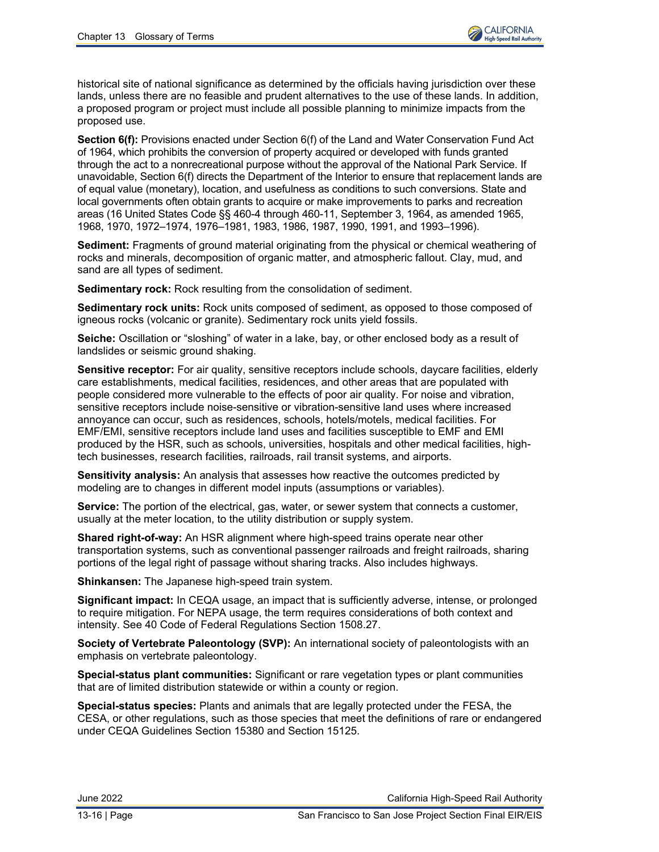historical site of national significance as determined by the officials having jurisdiction over these lands, unless there are no feasible and prudent alternatives to the use of these lands. In addition, a proposed program or project must include all possible planning to minimize impacts from the proposed use.

**Section 6(f):** Provisions enacted under Section 6(f) of the Land and Water Conservation Fund Act of 1964, which prohibits the conversion of property acquired or developed with funds granted through the act to a nonrecreational purpose without the approval of the National Park Service. If unavoidable, Section 6(f) directs the Department of the Interior to ensure that replacement lands are of equal value (monetary), location, and usefulness as conditions to such conversions. State and local governments often obtain grants to acquire or make improvements to parks and recreation areas (16 United States Code §§ 460-4 through 460-11, September 3, 1964, as amended 1965, 1968, 1970, 1972–1974, 1976–1981, 1983, 1986, 1987, 1990, 1991, and 1993–1996).

**Sediment:** Fragments of ground material originating from the physical or chemical weathering of rocks and minerals, decomposition of organic matter, and atmospheric fallout. Clay, mud, and sand are all types of sediment.

**Sedimentary rock:** Rock resulting from the consolidation of sediment.

**Sedimentary rock units:** Rock units composed of sediment, as opposed to those composed of igneous rocks (volcanic or granite). Sedimentary rock units yield fossils.

**Seiche:** Oscillation or "sloshing" of water in a lake, bay, or other enclosed body as a result of landslides or seismic ground shaking.

**Sensitive receptor:** For air quality, sensitive receptors include schools, daycare facilities, elderly care establishments, medical facilities, residences, and other areas that are populated with people considered more vulnerable to the effects of poor air quality. For noise and vibration, sensitive receptors include noise-sensitive or vibration-sensitive land uses where increased annoyance can occur, such as residences, schools, hotels/motels, medical facilities. For EMF/EMI, sensitive receptors include land uses and facilities susceptible to EMF and EMI produced by the HSR, such as schools, universities, hospitals and other medical facilities, hightech businesses, research facilities, railroads, rail transit systems, and airports.

**Sensitivity analysis:** An analysis that assesses how reactive the outcomes predicted by modeling are to changes in different model inputs (assumptions or variables).

**Service:** The portion of the electrical, gas, water, or sewer system that connects a customer, usually at the meter location, to the utility distribution or supply system.

**Shared right-of-way:** An HSR alignment where high-speed trains operate near other transportation systems, such as conventional passenger railroads and freight railroads, sharing portions of the legal right of passage without sharing tracks. Also includes highways.

**Shinkansen:** The Japanese high-speed train system.

**Significant impact:** In CEQA usage, an impact that is sufficiently adverse, intense, or prolonged to require mitigation. For NEPA usage, the term requires considerations of both context and intensity. See 40 Code of Federal Regulations Section 1508.27.

**Society of Vertebrate Paleontology (SVP):** An international society of paleontologists with an emphasis on vertebrate paleontology.

**Special-status plant communities:** Significant or rare vegetation types or plant communities that are of limited distribution statewide or within a county or region.

**Special-status species:** Plants and animals that are legally protected under the FESA, the CESA, or other regulations, such as those species that meet the definitions of rare or endangered under CEQA Guidelines Section 15380 and Section 15125.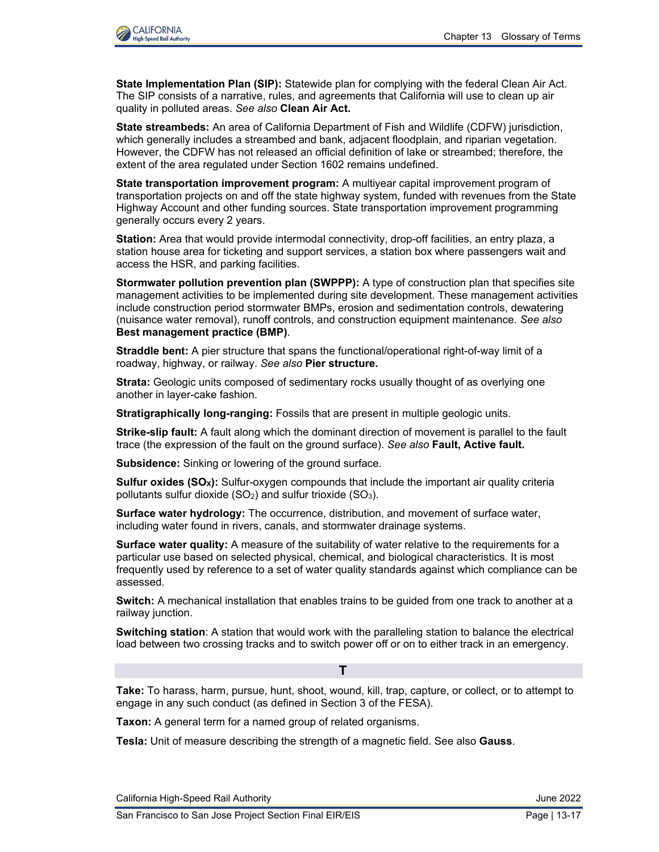

**State Implementation Plan (SIP):** Statewide plan for complying with the federal Clean Air Act. The SIP consists of a narrative, rules, and agreements that California will use to clean up air quality in polluted areas. *See also* **Clean Air Act.**

**State streambeds:** An area of California Department of Fish and Wildlife (CDFW) jurisdiction, which generally includes a streambed and bank, adjacent floodplain, and riparian vegetation. However, the CDFW has not released an official definition of lake or streambed; therefore, the extent of the area regulated under Section 1602 remains undefined.

**State transportation improvement program:** A multiyear capital improvement program of transportation projects on and off the state highway system, funded with revenues from the State Highway Account and other funding sources. State transportation improvement programming generally occurs every 2 years.

**Station:** Area that would provide intermodal connectivity, drop-off facilities, an entry plaza, a station house area for ticketing and support services, a station box where passengers wait and access the HSR, and parking facilities.

**Stormwater pollution prevention plan (SWPPP):** A type of construction plan that specifies site management activities to be implemented during site development. These management activities include construction period stormwater BMPs, erosion and sedimentation controls, dewatering (nuisance water removal), runoff controls, and construction equipment maintenance. *See also*  **Best management practice (BMP)**.

**Straddle bent:** A pier structure that spans the functional/operational right-of-way limit of a roadway, highway, or railway. *See also* **Pier structure.**

**Strata:** Geologic units composed of sedimentary rocks usually thought of as overlying one another in layer-cake fashion.

**Stratigraphically long-ranging:** Fossils that are present in multiple geologic units.

**Strike-slip fault:** A fault along which the dominant direction of movement is parallel to the fault trace (the expression of the fault on the ground surface). *See also* **Fault, Active fault.**

**Subsidence:** Sinking or lowering of the ground surface.

**Sulfur oxides (SOX):** Sulfur-oxygen compounds that include the important air quality criteria pollutants sulfur dioxide  $(SO_2)$  and sulfur trioxide  $(SO_3)$ .

**Surface water hydrology:** The occurrence, distribution, and movement of surface water, including water found in rivers, canals, and stormwater drainage systems.

**Surface water quality:** A measure of the suitability of water relative to the requirements for a particular use based on selected physical, chemical, and biological characteristics. It is most frequently used by reference to a set of water quality standards against which compliance can be assessed.

**Switch:** A mechanical installation that enables trains to be guided from one track to another at a railway junction.

**Switching station**: A station that would work with the paralleling station to balance the electrical load between two crossing tracks and to switch power off or on to either track in an emergency.

**T**

**Take:** To harass, harm, pursue, hunt, shoot, wound, kill, trap, capture, or collect, or to attempt to engage in any such conduct (as defined in Section 3 of the FESA).

**Taxon:** A general term for a named group of related organisms.

**Tesla:** Unit of measure describing the strength of a magnetic field. See also **Gauss**.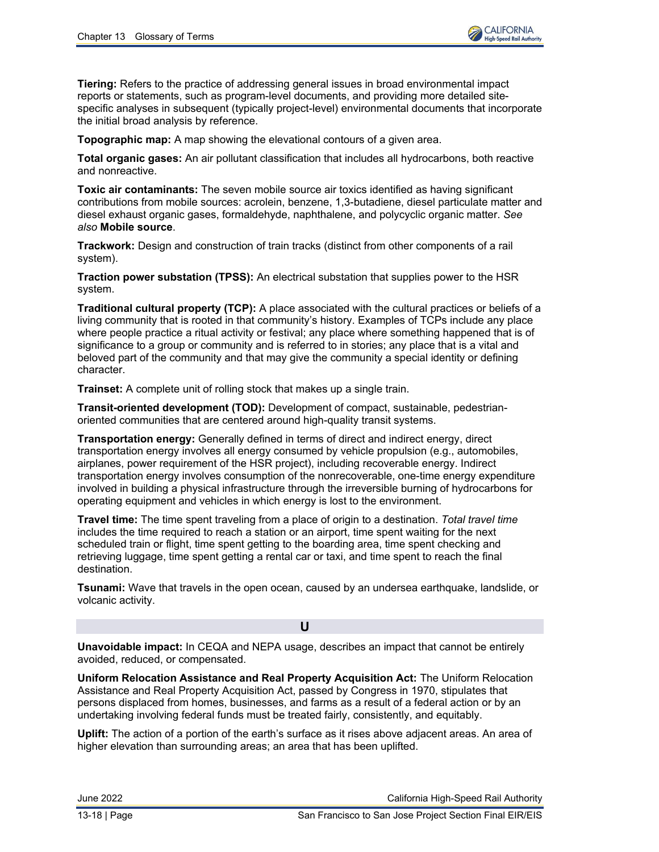

**Tiering:** Refers to the practice of addressing general issues in broad environmental impact reports or statements, such as program-level documents, and providing more detailed sitespecific analyses in subsequent (typically project-level) environmental documents that incorporate the initial broad analysis by reference.

**Topographic map:** A map showing the elevational contours of a given area.

**Total organic gases:** An air pollutant classification that includes all hydrocarbons, both reactive and nonreactive.

**Toxic air contaminants:** The seven mobile source air toxics identified as having significant contributions from mobile sources: acrolein, benzene, 1,3-butadiene, diesel particulate matter and diesel exhaust organic gases, formaldehyde, naphthalene, and polycyclic organic matter. *See also* **Mobile source**.

**Trackwork:** Design and construction of train tracks (distinct from other components of a rail system).

**Traction power substation (TPSS):** An electrical substation that supplies power to the HSR system.

**Traditional cultural property (TCP):** A place associated with the cultural practices or beliefs of a living community that is rooted in that community's history. Examples of TCPs include any place where people practice a ritual activity or festival; any place where something happened that is of significance to a group or community and is referred to in stories; any place that is a vital and beloved part of the community and that may give the community a special identity or defining character.

**Trainset:** A complete unit of rolling stock that makes up a single train.

**Transit-oriented development (TOD):** Development of compact, sustainable, pedestrianoriented communities that are centered around high-quality transit systems.

**Transportation energy:** Generally defined in terms of direct and indirect energy, direct transportation energy involves all energy consumed by vehicle propulsion (e.g., automobiles, airplanes, power requirement of the HSR project), including recoverable energy. Indirect transportation energy involves consumption of the nonrecoverable, one-time energy expenditure involved in building a physical infrastructure through the irreversible burning of hydrocarbons for operating equipment and vehicles in which energy is lost to the environment.

**Travel time:** The time spent traveling from a place of origin to a destination. *Total travel time* includes the time required to reach a station or an airport, time spent waiting for the next scheduled train or flight, time spent getting to the boarding area, time spent checking and retrieving luggage, time spent getting a rental car or taxi, and time spent to reach the final destination.

**Tsunami:** Wave that travels in the open ocean, caused by an undersea earthquake, landslide, or volcanic activity.

**U**

**Unavoidable impact:** In CEQA and NEPA usage, describes an impact that cannot be entirely avoided, reduced, or compensated.

**Uniform Relocation Assistance and Real Property Acquisition Act:** The Uniform Relocation Assistance and Real Property Acquisition Act, passed by Congress in 1970, stipulates that persons displaced from homes, businesses, and farms as a result of a federal action or by an undertaking involving federal funds must be treated fairly, consistently, and equitably.

**Uplift:** The action of a portion of the earth's surface as it rises above adjacent areas. An area of higher elevation than surrounding areas; an area that has been uplifted.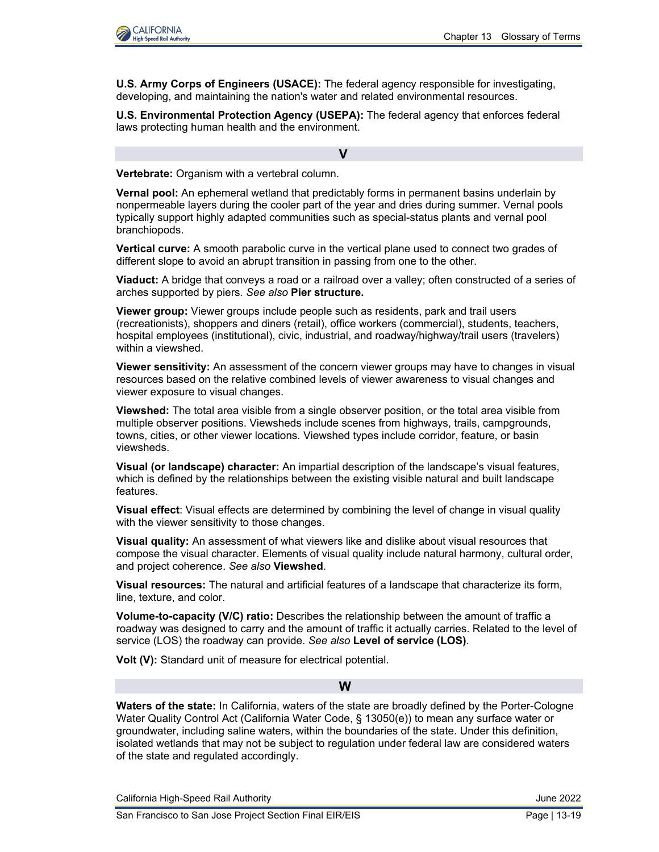

**U.S. Army Corps of Engineers (USACE):** The federal agency responsible for investigating, developing, and maintaining the nation's water and related environmental resources.

**U.S. Environmental Protection Agency (USEPA):** The federal agency that enforces federal laws protecting human health and the environment.

#### **V**

**Vertebrate:** Organism with a vertebral column.

**Vernal pool:** An ephemeral wetland that predictably forms in permanent basins underlain by nonpermeable layers during the cooler part of the year and dries during summer. Vernal pools typically support highly adapted communities such as special-status plants and vernal pool branchiopods.

**Vertical curve:** A smooth parabolic curve in the vertical plane used to connect two grades of different slope to avoid an abrupt transition in passing from one to the other.

**Viaduct:** A bridge that conveys a road or a railroad over a valley; often constructed of a series of arches supported by piers. *See also* **Pier structure.**

**Viewer group:** Viewer groups include people such as residents, park and trail users (recreationists), shoppers and diners (retail), office workers (commercial), students, teachers, hospital employees (institutional), civic, industrial, and roadway/highway/trail users (travelers) within a viewshed.

**Viewer sensitivity:** An assessment of the concern viewer groups may have to changes in visual resources based on the relative combined levels of viewer awareness to visual changes and viewer exposure to visual changes.

**Viewshed:** The total area visible from a single observer position, or the total area visible from multiple observer positions. Viewsheds include scenes from highways, trails, campgrounds, towns, cities, or other viewer locations. Viewshed types include corridor, feature, or basin viewsheds.

**Visual (or landscape) character:** An impartial description of the landscape's visual features, which is defined by the relationships between the existing visible natural and built landscape features.

**Visual effect**: Visual effects are determined by combining the level of change in visual quality with the viewer sensitivity to those changes.

**Visual quality:** An assessment of what viewers like and dislike about visual resources that compose the visual character. Elements of visual quality include natural harmony, cultural order, and project coherence. *See also* **Viewshed**.

**Visual resources:** The natural and artificial features of a landscape that characterize its form, line, texture, and color.

**Volume-to-capacity (V/C) ratio:** Describes the relationship between the amount of traffic a roadway was designed to carry and the amount of traffic it actually carries. Related to the level of service (LOS) the roadway can provide. *See also* **Level of service (LOS)**.

**Volt (V):** Standard unit of measure for electrical potential.

### **W**

**Waters of the state:** In California, waters of the state are broadly defined by the Porter-Cologne Water Quality Control Act (California Water Code, § 13050(e)) to mean any surface water or groundwater, including saline waters, within the boundaries of the state. Under this definition, isolated wetlands that may not be subject to regulation under federal law are considered waters of the state and regulated accordingly.

California High-Speed Rail Authority **California High-Speed Rail Authority** June 2022